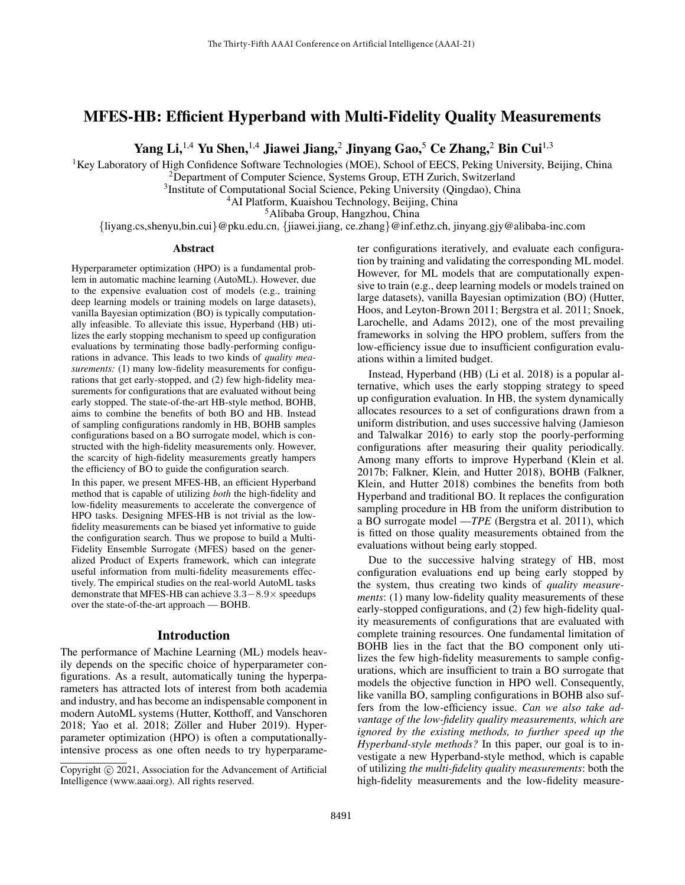# MFES-HB: Efficient Hyperband with Multi-Fidelity Quality Measurements

Yang Li,<sup>1,4</sup> Yu Shen,<sup>1,4</sup> Jiawei Jiang,<sup>2</sup> Jinyang Gao,<sup>5</sup> Ce Zhang,<sup>2</sup> Bin Cui<sup>1,3</sup>

 ${}^{1}$ Key Laboratory of High Confidence Software Technologies (MOE), School of EECS, Peking University, Beijing, China

<sup>2</sup>Department of Computer Science, Systems Group, ETH Zurich, Switzerland

<sup>3</sup>Institute of Computational Social Science, Peking University (Qingdao), China

<sup>4</sup>AI Platform, Kuaishou Technology, Beijing, China

<sup>5</sup>Alibaba Group, Hangzhou, China

{liyang.cs,shenyu,bin.cui}@pku.edu.cn, {jiawei.jiang, ce.zhang}@inf.ethz.ch, jinyang.gjy@alibaba-inc.com

#### Abstract

Hyperparameter optimization (HPO) is a fundamental problem in automatic machine learning (AutoML). However, due to the expensive evaluation cost of models (e.g., training deep learning models or training models on large datasets), vanilla Bayesian optimization (BO) is typically computationally infeasible. To alleviate this issue, Hyperband (HB) utilizes the early stopping mechanism to speed up configuration evaluations by terminating those badly-performing configurations in advance. This leads to two kinds of *quality measurements:* (1) many low-fidelity measurements for configurations that get early-stopped, and (2) few high-fidelity measurements for configurations that are evaluated without being early stopped. The state-of-the-art HB-style method, BOHB, aims to combine the benefits of both BO and HB. Instead of sampling configurations randomly in HB, BOHB samples configurations based on a BO surrogate model, which is constructed with the high-fidelity measurements only. However, the scarcity of high-fidelity measurements greatly hampers the efficiency of BO to guide the configuration search.

In this paper, we present MFES-HB, an efficient Hyperband method that is capable of utilizing *both* the high-fidelity and low-fidelity measurements to accelerate the convergence of HPO tasks. Designing MFES-HB is not trivial as the lowfidelity measurements can be biased yet informative to guide the configuration search. Thus we propose to build a Multi-Fidelity Ensemble Surrogate (MFES) based on the generalized Product of Experts framework, which can integrate useful information from multi-fidelity measurements effectively. The empirical studies on the real-world AutoML tasks demonstrate that MFES-HB can achieve 3.3−8.9× speedups over the state-of-the-art approach — BOHB.

## Introduction

The performance of Machine Learning (ML) models heavily depends on the specific choice of hyperparameter configurations. As a result, automatically tuning the hyperparameters has attracted lots of interest from both academia and industry, and has become an indispensable component in modern AutoML systems (Hutter, Kotthoff, and Vanschoren  $2018$ ; Yao et al.  $2018$ ; Zöller and Huber  $2019$ ). Hyperparameter optimization (HPO) is often a computationallyintensive process as one often needs to try hyperparameter configurations iteratively, and evaluate each configuration by training and validating the corresponding ML model. However, for ML models that are computationally expensive to train (e.g., deep learning models or models trained on large datasets), vanilla Bayesian optimization (BO) (Hutter, Hoos, and Leyton-Brown 2011; Bergstra et al. 2011; Snoek, Larochelle, and Adams 2012), one of the most prevailing frameworks in solving the HPO problem, suffers from the low-efficiency issue due to insufficient configuration evaluations within a limited budget.

Instead, Hyperband (HB) (Li et al. 2018) is a popular alternative, which uses the early stopping strategy to speed up configuration evaluation. In HB, the system dynamically allocates resources to a set of configurations drawn from a uniform distribution, and uses successive halving (Jamieson and Talwalkar 2016) to early stop the poorly-performing configurations after measuring their quality periodically. Among many efforts to improve Hyperband (Klein et al. 2017b; Falkner, Klein, and Hutter 2018), BOHB (Falkner, Klein, and Hutter 2018) combines the benefits from both Hyperband and traditional BO. It replaces the configuration sampling procedure in HB from the uniform distribution to a BO surrogate model —*TPE* (Bergstra et al. 2011), which is fitted on those quality measurements obtained from the evaluations without being early stopped.

Due to the successive halving strategy of HB, most configuration evaluations end up being early stopped by the system, thus creating two kinds of *quality measurements*: (1) many low-fidelity quality measurements of these early-stopped configurations, and (2) few high-fidelity quality measurements of configurations that are evaluated with complete training resources. One fundamental limitation of BOHB lies in the fact that the BO component only utilizes the few high-fidelity measurements to sample configurations, which are insufficient to train a BO surrogate that models the objective function in HPO well. Consequently, like vanilla BO, sampling configurations in BOHB also suffers from the low-efficiency issue. *Can we also take advantage of the low-fidelity quality measurements, which are ignored by the existing methods, to further speed up the Hyperband-style methods?* In this paper, our goal is to investigate a new Hyperband-style method, which is capable of utilizing *the multi-fidelity quality measurements*: both the high-fidelity measurements and the low-fidelity measure-

Copyright (c) 2021, Association for the Advancement of Artificial Intelligence (www.aaai.org). All rights reserved.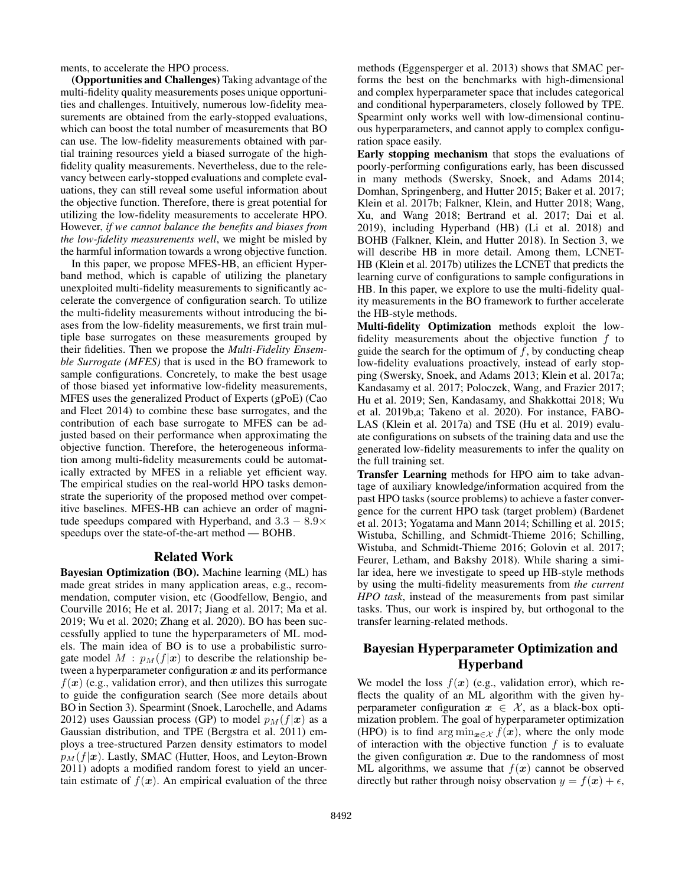ments, to accelerate the HPO process.

(Opportunities and Challenges) Taking advantage of the multi-fidelity quality measurements poses unique opportunities and challenges. Intuitively, numerous low-fidelity measurements are obtained from the early-stopped evaluations, which can boost the total number of measurements that BO can use. The low-fidelity measurements obtained with partial training resources yield a biased surrogate of the highfidelity quality measurements. Nevertheless, due to the relevancy between early-stopped evaluations and complete evaluations, they can still reveal some useful information about the objective function. Therefore, there is great potential for utilizing the low-fidelity measurements to accelerate HPO. However, *if we cannot balance the benefits and biases from the low-fidelity measurements well*, we might be misled by the harmful information towards a wrong objective function.

In this paper, we propose MFES-HB, an efficient Hyperband method, which is capable of utilizing the planetary unexploited multi-fidelity measurements to significantly accelerate the convergence of configuration search. To utilize the multi-fidelity measurements without introducing the biases from the low-fidelity measurements, we first train multiple base surrogates on these measurements grouped by their fidelities. Then we propose the *Multi-Fidelity Ensemble Surrogate (MFES)* that is used in the BO framework to sample configurations. Concretely, to make the best usage of those biased yet informative low-fidelity measurements, MFES uses the generalized Product of Experts (gPoE) (Cao and Fleet 2014) to combine these base surrogates, and the contribution of each base surrogate to MFES can be adjusted based on their performance when approximating the objective function. Therefore, the heterogeneous information among multi-fidelity measurements could be automatically extracted by MFES in a reliable yet efficient way. The empirical studies on the real-world HPO tasks demonstrate the superiority of the proposed method over competitive baselines. MFES-HB can achieve an order of magnitude speedups compared with Hyperband, and  $3.3 - 8.9 \times$ speedups over the state-of-the-art method — BOHB.

## Related Work

Bayesian Optimization (BO). Machine learning (ML) has made great strides in many application areas, e.g., recommendation, computer vision, etc (Goodfellow, Bengio, and Courville 2016; He et al. 2017; Jiang et al. 2017; Ma et al. 2019; Wu et al. 2020; Zhang et al. 2020). BO has been successfully applied to tune the hyperparameters of ML models. The main idea of BO is to use a probabilistic surrogate model  $M$ :  $p_M(f|\mathbf{x})$  to describe the relationship between a hyperparameter configuration  $x$  and its performance  $f(x)$  (e.g., validation error), and then utilizes this surrogate to guide the configuration search (See more details about BO in Section 3). Spearmint (Snoek, Larochelle, and Adams 2012) uses Gaussian process (GP) to model  $p_M(f|\mathbf{x})$  as a Gaussian distribution, and TPE (Bergstra et al. 2011) employs a tree-structured Parzen density estimators to model  $p_M(f|\mathbf{x})$ . Lastly, SMAC (Hutter, Hoos, and Leyton-Brown 2011) adopts a modified random forest to yield an uncertain estimate of  $f(x)$ . An empirical evaluation of the three

methods (Eggensperger et al. 2013) shows that SMAC performs the best on the benchmarks with high-dimensional and complex hyperparameter space that includes categorical and conditional hyperparameters, closely followed by TPE. Spearmint only works well with low-dimensional continuous hyperparameters, and cannot apply to complex configuration space easily.

Early stopping mechanism that stops the evaluations of poorly-performing configurations early, has been discussed in many methods (Swersky, Snoek, and Adams 2014; Domhan, Springenberg, and Hutter 2015; Baker et al. 2017; Klein et al. 2017b; Falkner, Klein, and Hutter 2018; Wang, Xu, and Wang 2018; Bertrand et al. 2017; Dai et al. 2019), including Hyperband (HB) (Li et al. 2018) and BOHB (Falkner, Klein, and Hutter 2018). In Section 3, we will describe HB in more detail. Among them, LCNET-HB (Klein et al. 2017b) utilizes the LCNET that predicts the learning curve of configurations to sample configurations in HB. In this paper, we explore to use the multi-fidelity quality measurements in the BO framework to further accelerate the HB-style methods.

Multi-fidelity Optimization methods exploit the lowfidelity measurements about the objective function  $f$  to guide the search for the optimum of  $f$ , by conducting cheap low-fidelity evaluations proactively, instead of early stopping (Swersky, Snoek, and Adams 2013; Klein et al. 2017a; Kandasamy et al. 2017; Poloczek, Wang, and Frazier 2017; Hu et al. 2019; Sen, Kandasamy, and Shakkottai 2018; Wu et al. 2019b,a; Takeno et al. 2020). For instance, FABO-LAS (Klein et al. 2017a) and TSE (Hu et al. 2019) evaluate configurations on subsets of the training data and use the generated low-fidelity measurements to infer the quality on the full training set.

Transfer Learning methods for HPO aim to take advantage of auxiliary knowledge/information acquired from the past HPO tasks (source problems) to achieve a faster convergence for the current HPO task (target problem) (Bardenet et al. 2013; Yogatama and Mann 2014; Schilling et al. 2015; Wistuba, Schilling, and Schmidt-Thieme 2016; Schilling, Wistuba, and Schmidt-Thieme 2016; Golovin et al. 2017; Feurer, Letham, and Bakshy 2018). While sharing a similar idea, here we investigate to speed up HB-style methods by using the multi-fidelity measurements from *the current HPO task*, instead of the measurements from past similar tasks. Thus, our work is inspired by, but orthogonal to the transfer learning-related methods.

# Bayesian Hyperparameter Optimization and Hyperband

We model the loss  $f(x)$  (e.g., validation error), which reflects the quality of an ML algorithm with the given hyperparameter configuration  $x \in \mathcal{X}$ , as a black-box optimization problem. The goal of hyperparameter optimization (HPO) is to find arg min $_{\mathbf{x} \in \mathcal{X}} f(\mathbf{x})$ , where the only mode of interaction with the objective function  $f$  is to evaluate the given configuration  $x$ . Due to the randomness of most ML algorithms, we assume that  $f(x)$  cannot be observed directly but rather through noisy observation  $y = f(x) + \epsilon$ ,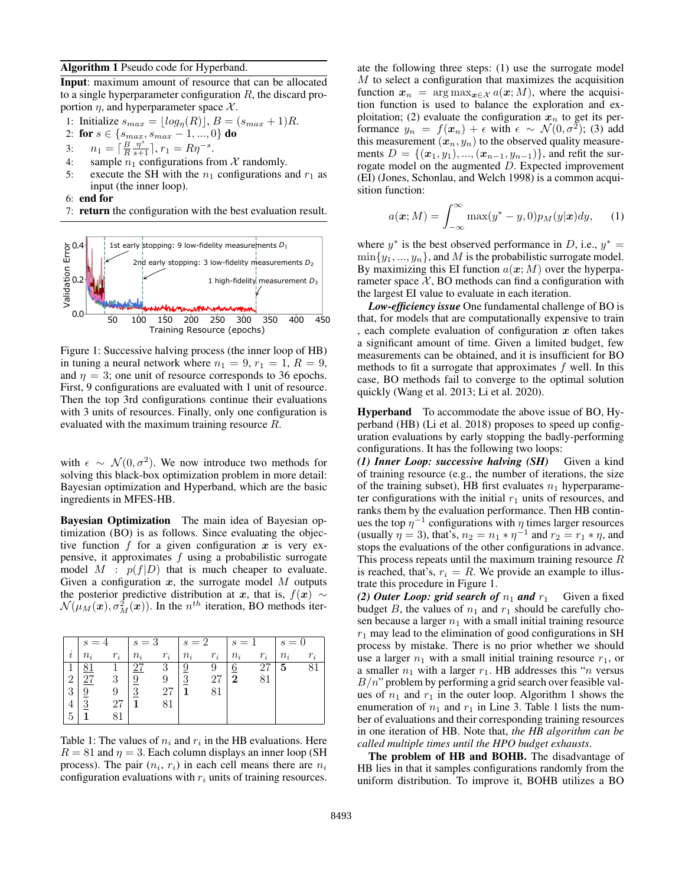#### Algorithm 1 Pseudo code for Hyperband.

Input: maximum amount of resource that can be allocated to a single hyperparameter configuration  $R$ , the discard proportion  $\eta$ , and hyperparameter space X.

1: Initialize  $s_{max} = \lfloor log_{\eta}(R) \rfloor, B = (s_{max} + 1)R$ .

2: for 
$$
s \in \{s_{max}, s_{max} - 1, ..., 0\}
$$
 do

3: 
$$
n_1 = \left[\frac{B}{R} \frac{\eta^s}{s+1}\right], r_1 = R\eta^{-s}
$$

- 4: sample  $n_1$  configurations from X randomly.
- 5: execute the SH with the  $n_1$  configurations and  $r_1$  as input (the inner loop).

.

6: end for

7: return the configuration with the best evaluation result.



Figure 1: Successive halving process (the inner loop of HB) in tuning a neural network where  $n_1 = 9$ ,  $r_1 = 1$ ,  $R = 9$ , and  $\eta = 3$ ; one unit of resource corresponds to 36 epochs. First, 9 configurations are evaluated with 1 unit of resource. Then the top 3rd configurations continue their evaluations with 3 units of resources. Finally, only one configuration is evaluated with the maximum training resource R.

with  $\epsilon \sim \mathcal{N}(0, \sigma^2)$ . We now introduce two methods for solving this black-box optimization problem in more detail: Bayesian optimization and Hyperband, which are the basic ingredients in MFES-HB.

Bayesian Optimization The main idea of Bayesian optimization (BO) is as follows. Since evaluating the objective function f for a given configuration x is very expensive, it approximates  $f$  using a probabilistic surrogate model  $M$  :  $p(f|D)$  that is much cheaper to evaluate. Given a configuration  $x$ , the surrogate model  $M$  outputs the posterior predictive distribution at x, that is,  $f(x) \sim$  $\mathcal{N}(\mu_M(\bm{x}), \sigma_M^2(\bm{x}))$ . In the  $n^{th}$  iteration, BO methods iter-

|                | $s=4$  |       | $ s=3 $        |       |               | $s=2$ $s=1$ |                 |       | $s=0$ |       |
|----------------|--------|-------|----------------|-------|---------------|-------------|-----------------|-------|-------|-------|
| i              | $n_i$  | $r_i$ | $n_i$          | $r_i$ | $n_i$         | $r_i$       | $n_i$           | $r_i$ | $n_i$ | $r_i$ |
|                | 81     |       | 27             | -3    | 9             | -9          | $6\overline{6}$ | 27    | 5     | 81    |
| $\overline{2}$ | $27\,$ | 3     | $\frac{9}{2}$  |       | $\frac{3}{2}$ | 27          | $\overline{2}$  | 81    |       |       |
| 3              | 9      | 9     | $\overline{3}$ | 27    |               | 81          |                 |       |       |       |
|                | 3      | 27    |                | 81    |               |             |                 |       |       |       |
| $\overline{5}$ |        |       |                |       |               |             |                 |       |       |       |

Table 1: The values of  $n_i$  and  $r_i$  in the HB evaluations. Here  $R = 81$  and  $\eta = 3$ . Each column displays an inner loop (SH) process). The pair  $(n_i, r_i)$  in each cell means there are  $n_i$ configuration evaluations with  $r_i$  units of training resources.

ate the following three steps: (1) use the surrogate model  $M$  to select a configuration that maximizes the acquisition function  $x_n = \arg \max_{x \in \mathcal{X}} a(x; M)$ , where the acquisition function is used to balance the exploration and exploitation; (2) evaluate the configuration  $x_n$  to get its performance  $y_n = f(x_n) + \epsilon$  with  $\epsilon \sim \mathcal{N}(0, \sigma^2)$ ; (3) add this measurement  $(x_n, y_n)$  to the observed quality measurements  $D = \{(\mathbf{x}_1, y_1), ..., (\mathbf{x}_{n-1}, y_{n-1})\}$ , and refit the surrogate model on the augmented D. Expected improvement (EI) (Jones, Schonlau, and Welch 1998) is a common acquisition function:

$$
a(\boldsymbol{x};M) = \int_{-\infty}^{\infty} \max(y^* - y, 0) p_M(y|\boldsymbol{x}) dy, \qquad (1)
$$

where  $y^*$  is the best observed performance in D, i.e.,  $y^* =$  $\min\{y_1, ..., y_n\}$ , and M is the probabilistic surrogate model. By maximizing this EI function  $a(x; M)$  over the hyperparameter space  $X$ , BO methods can find a configuration with the largest EI value to evaluate in each iteration.

*Low-efficiency issue* One fundamental challenge of BO is that, for models that are computationally expensive to train , each complete evaluation of configuration  $x$  often takes a significant amount of time. Given a limited budget, few measurements can be obtained, and it is insufficient for BO methods to fit a surrogate that approximates  $f$  well. In this case, BO methods fail to converge to the optimal solution quickly (Wang et al. 2013; Li et al. 2020).

Hyperband To accommodate the above issue of BO, Hyperband (HB) (Li et al. 2018) proposes to speed up configuration evaluations by early stopping the badly-performing configurations. It has the following two loops:

*(1) Inner Loop: successive halving (SH)* Given a kind of training resource (e.g., the number of iterations, the size of the training subset), HB first evaluates  $n_1$  hyperparameter configurations with the initial  $r_1$  units of resources, and ranks them by the evaluation performance. Then HB continues the top  $\eta^{-1}$  configurations with  $\eta$  times larger resources (usually  $\eta = 3$ ), that's,  $n_2 = n_1 * \eta^{-1}$  and  $r_2 = r_1 * \eta$ , and stops the evaluations of the other configurations in advance. This process repeats until the maximum training resource  $R$ is reached, that's,  $r_i = R$ . We provide an example to illustrate this procedure in Figure 1.

*(2) Outer Loop: grid search of*  $n_1$  *and*  $r_1$  Given a fixed budget B, the values of  $n_1$  and  $r_1$  should be carefully chosen because a larger  $n_1$  with a small initial training resource  $r_1$  may lead to the elimination of good configurations in SH process by mistake. There is no prior whether we should use a larger  $n_1$  with a small initial training resource  $r_1$ , or a smaller  $n_1$  with a larger  $r_1$ . HB addresses this "*n* versus  $B/n$ " problem by performing a grid search over feasible values of  $n_1$  and  $r_1$  in the outer loop. Algorithm 1 shows the enumeration of  $n_1$  and  $r_1$  in Line 3. Table 1 lists the number of evaluations and their corresponding training resources in one iteration of HB. Note that, *the HB algorithm can be called multiple times until the HPO budget exhausts*.

The problem of HB and BOHB. The disadvantage of HB lies in that it samples configurations randomly from the uniform distribution. To improve it, BOHB utilizes a BO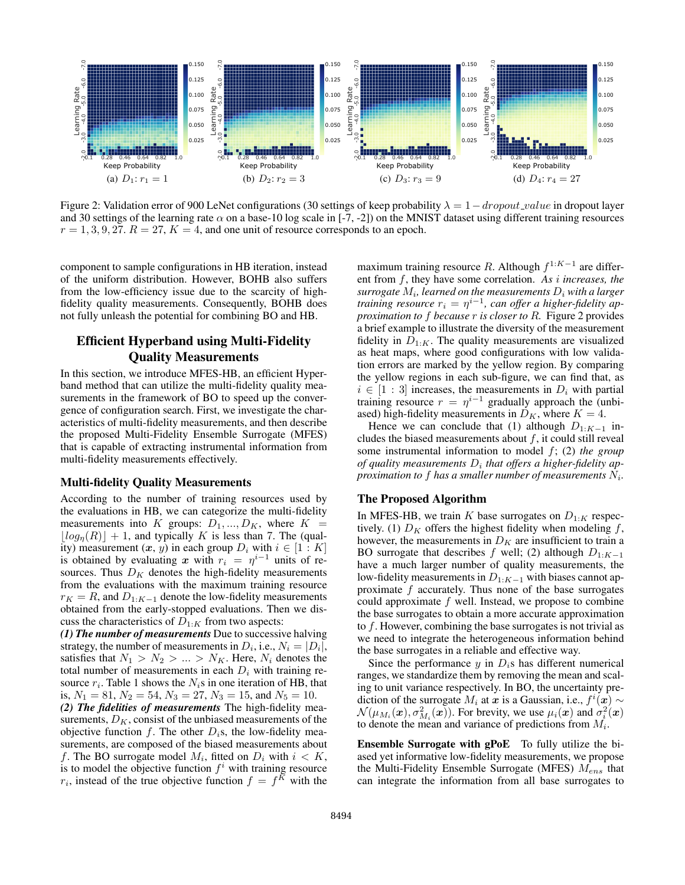

Figure 2: Validation error of 900 LeNet configurations (30 settings of keep probability  $\lambda = 1-dropout_value$  in dropout layer and 30 settings of the learning rate  $\alpha$  on a base-10 log scale in [-7, -2]) on the MNIST dataset using different training resources  $r = 1, 3, 9, 27$ .  $R = 27$ ,  $K = 4$ , and one unit of resource corresponds to an epoch.

component to sample configurations in HB iteration, instead of the uniform distribution. However, BOHB also suffers from the low-efficiency issue due to the scarcity of highfidelity quality measurements. Consequently, BOHB does not fully unleash the potential for combining BO and HB.

# Efficient Hyperband using Multi-Fidelity Quality Measurements

In this section, we introduce MFES-HB, an efficient Hyperband method that can utilize the multi-fidelity quality measurements in the framework of BO to speed up the convergence of configuration search. First, we investigate the characteristics of multi-fidelity measurements, and then describe the proposed Multi-Fidelity Ensemble Surrogate (MFES) that is capable of extracting instrumental information from multi-fidelity measurements effectively.

### Multi-fidelity Quality Measurements

According to the number of training resources used by the evaluations in HB, we can categorize the multi-fidelity measurements into K groups:  $D_1, ..., D_K$ , where  $K =$  $|log_n(R)| + 1$ , and typically K is less than 7. The (quality) measurement  $(x, y)$  in each group  $D_i$  with  $i \in [1:K]$ is obtained by evaluating x with  $r_i = \eta^{i-1}$  units of resources. Thus  $D<sub>K</sub>$  denotes the high-fidelity measurements from the evaluations with the maximum training resource  $r_K = R$ , and  $D_{1:K-1}$  denote the low-fidelity measurements obtained from the early-stopped evaluations. Then we discuss the characteristics of  $D_{1:K}$  from two aspects:

*(1) The number of measurements* Due to successive halving strategy, the number of measurements in  $D_i$ , i.e.,  $N_i = |D_i|$ , satisfies that  $N_1 > N_2 > ... > N_K$ . Here,  $N_i$  denotes the total number of measurements in each  $D_i$  with training resource  $r_i$ . Table 1 shows the  $N_i$ s in one iteration of HB, that is,  $N_1 = 81$ ,  $N_2 = 54$ ,  $N_3 = 27$ ,  $N_3 = 15$ , and  $N_5 = 10$ . *(2) The fidelities of measurements* The high-fidelity measurements,  $D<sub>K</sub>$ , consist of the unbiased measurements of the objective function f. The other  $D_i$ s, the low-fidelity measurements, are composed of the biased measurements about f. The BO surrogate model  $M_i$ , fitted on  $D_i$  with  $i < K$ , is to model the objective function  $f^i$  with training resource  $r_i$ , instead of the true objective function  $f = f<sup>K</sup>$  with the

maximum training resource R. Although  $f^{1:K-1}$  are different from f, they have some correlation. *As* i *increases, the*  $\mathit{surrogate}\ M_i$ , learned on the measurements  $D_i$  with a larger *training resource*  $r_i = \eta^{i-1}$ , can offer a higher-fidelity ap*proximation to* f *because* r *is closer to* R*.* Figure 2 provides a brief example to illustrate the diversity of the measurement fidelity in  $D_{1:K}$ . The quality measurements are visualized as heat maps, where good configurations with low validation errors are marked by the yellow region. By comparing the yellow regions in each sub-figure, we can find that, as  $i \in [1 : 3]$  increases, the measurements in  $D_i$  with partial training resource  $r = \eta^{i-1}$  gradually approach the (unbiased) high-fidelity measurements in  $D_K$ , where  $K = 4$ .

Hence we can conclude that (1) although  $D_{1:K-1}$  includes the biased measurements about  $f$ , it could still reveal some instrumental information to model f; (2) *the group* of quality measurements  $D_i$  that offers a higher-fidelity approximation to  $f$  has a smaller number of measurements  $N_{i}.$ 

### The Proposed Algorithm

In MFES-HB, we train  $K$  base surrogates on  $D_{1:K}$  respectively. (1)  $D_K$  offers the highest fidelity when modeling f, however, the measurements in  $D<sub>K</sub>$  are insufficient to train a BO surrogate that describes f well; (2) although  $D_{1:K-1}$ have a much larger number of quality measurements, the low-fidelity measurements in  $D_{1:K-1}$  with biases cannot approximate  $f$  accurately. Thus none of the base surrogates could approximate  $f$  well. Instead, we propose to combine the base surrogates to obtain a more accurate approximation to  $f$ . However, combining the base surrogates is not trivial as we need to integrate the heterogeneous information behind the base surrogates in a reliable and effective way.

Since the performance  $y$  in  $D_i$ s has different numerical ranges, we standardize them by removing the mean and scaling to unit variance respectively. In BO, the uncertainty prediction of the surrogate  $M_i$  at  $\boldsymbol{x}$  is a Gaussian, i.e.,  $f^i(\boldsymbol{x}) \sim$  $\mathcal{N}(\mu_{M_i}(\bm{x}), \sigma_{M_i}^2(\bm{x}))$ . For brevity, we use  $\mu_i(\bm{x})$  and  $\sigma_i^2(\bm{x})$ to denote the mean and variance of predictions from  $M_i$ .

Ensemble Surrogate with gPoE To fully utilize the biased yet informative low-fidelity measurements, we propose the Multi-Fidelity Ensemble Surrogate (MFES)  $M_{ens}$  that can integrate the information from all base surrogates to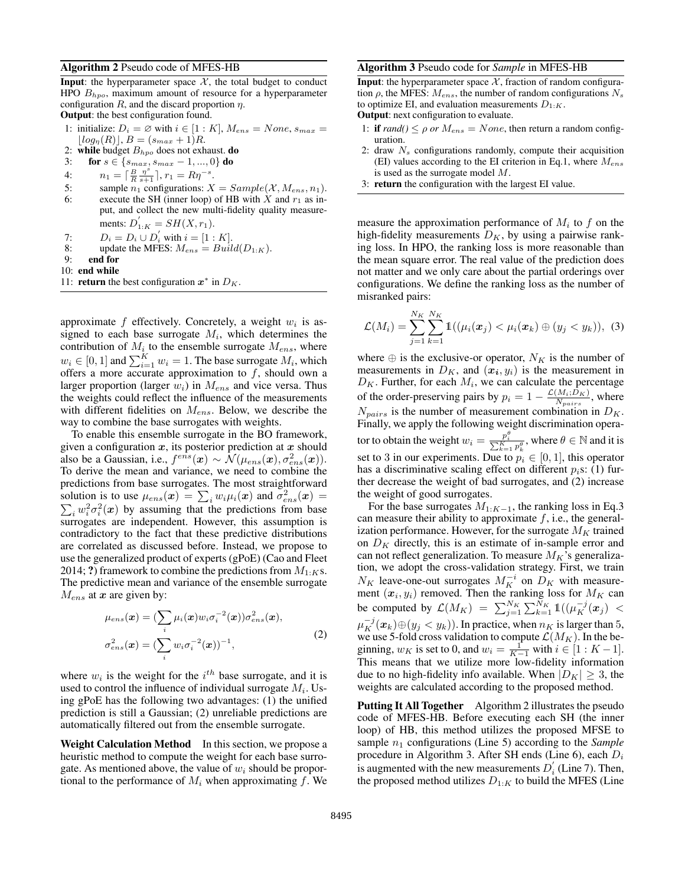#### Algorithm 2 Pseudo code of MFES-HB

**Input:** the hyperparameter space  $X$ , the total budget to conduct HPO  $B_{hpo}$ , maximum amount of resource for a hyperparameter configuration  $R$ , and the discard proportion  $\eta$ .

Output: the best configuration found.

- 1: initialize:  $D_i = \emptyset$  with  $i \in [1:K]$ ,  $M_{ens} = None$ ,  $s_{max} =$  $\lfloor log_{\eta}(R) \rfloor, B = (s_{max} + 1)R.$
- 2: while budget  $B_{hpo}$  does not exhaust. do
- 3: for  $s \in \{s_{max}, s_{max} 1, ..., 0\}$  do
- 4:  $n_1 = \left[\frac{B}{R} \frac{\eta^s}{s+1}\right], r_1 = R\eta^{-s}.$
- 5: sample  $n_1$  configurations:  $X = Sample(X, M_{ens}, n_1)$ . 6: execute the SH (inner loop) of HB with X and  $r_1$  as in-
- put, and collect the new multi-fidelity quality measurements:  $D_{1:K}' = SH(X, r_1)$ .
- 7:  $D_i = D_i \cup D_i'$  with  $i = [1 : K]$ .
- 8: update the MFES:  $M_{ens} = Build(D_{1:K})$ .
- 9: end for
- 10: end while
- 11: **return** the best configuration  $x^*$  in  $D_K$ .

approximate  $f$  effectively. Concretely, a weight  $w_i$  is assigned to each base surrogate  $M_i$ , which determines the contribution of  $M_i$  to the ensemble surrogate  $M_{ens}$ , where  $w_i \in [0, 1]$  and  $\sum_{i=1}^{K} w_i = 1$ . The base surrogate  $M_i$ , which offers a more accurate approximation to  $f$ , should own a larger proportion (larger  $w_i$ ) in  $M_{ens}$  and vice versa. Thus the weights could reflect the influence of the measurements with different fidelities on  $M_{ens}$ . Below, we describe the way to combine the base surrogates with weights.

To enable this ensemble surrogate in the BO framework, given a configuration  $x$ , its posterior prediction at  $x$  should also be a Gaussian, i.e.,  $f^{e\hat{n}s}(\mathbf{x}) \sim \tilde{\mathcal{N}}(\mu_{ens}(\mathbf{x}), \sigma_{ens}^2(\mathbf{x})).$ To derive the mean and variance, we need to combine the predictions from base surrogates. The most straightforward solution is to use  $\mu_{ens}(x) = \sum_i w_i \mu_i(x)$  and  $\sigma_{ens}^2(x) =$  $\sum_i w_i^2 \sigma_i^2(x)$  by assuming that the predictions from base surrogates are independent. However, this assumption is contradictory to the fact that these predictive distributions are correlated as discussed before. Instead, we propose to use the generalized product of experts (gPoE) (Cao and Fleet 2014; ?) framework to combine the predictions from  $M_{1:K}$ s. The predictive mean and variance of the ensemble surrogate  $M_{ens}$  at  $x$  are given by:

$$
\mu_{ens}(\boldsymbol{x}) = (\sum_{i} \mu_i(\boldsymbol{x}) w_i \sigma_i^{-2}(\boldsymbol{x})) \sigma_{ens}^2(\boldsymbol{x}),
$$
  

$$
\sigma_{ens}^2(\boldsymbol{x}) = (\sum_{i} w_i \sigma_i^{-2}(\boldsymbol{x}))^{-1},
$$
 (2)

where  $w_i$  is the weight for the  $i^{th}$  base surrogate, and it is used to control the influence of individual surrogate  $M_i$ . Using gPoE has the following two advantages: (1) the unified prediction is still a Gaussian; (2) unreliable predictions are automatically filtered out from the ensemble surrogate.

Weight Calculation Method In this section, we propose a heuristic method to compute the weight for each base surrogate. As mentioned above, the value of  $w_i$  should be proportional to the performance of  $M_i$  when approximating f. We

#### Algorithm 3 Pseudo code for *Sample* in MFES-HB

**Input:** the hyperparameter space  $X$ , fraction of random configuration  $\rho$ , the MFES:  $M_{ens}$ , the number of random configurations  $N_s$ to optimize EI, and evaluation measurements  $D_{1:K}$ .

Output: next configuration to evaluate.

- 1: **if**  $rand() \leq \rho$  or  $M_{ens} = None$ , then return a random configuration.
- 2: draw  $N_s$  configurations randomly, compute their acquisition (EI) values according to the EI criterion in Eq.1, where  $M_{ens}$ is used as the surrogate model M.
- 3: return the configuration with the largest EI value.

measure the approximation performance of  $M_i$  to f on the high-fidelity measurements  $D<sub>K</sub>$ , by using a pairwise ranking loss. In HPO, the ranking loss is more reasonable than the mean square error. The real value of the prediction does not matter and we only care about the partial orderings over configurations. We define the ranking loss as the number of misranked pairs:

$$
\mathcal{L}(M_i) = \sum_{j=1}^{N_K} \sum_{k=1}^{N_K} \mathbb{1}((\mu_i(\bm{x}_j) < \mu_i(\bm{x}_k) \oplus (y_j < y_k)), \tag{3}
$$

where  $\oplus$  is the exclusive-or operator,  $N_K$  is the number of measurements in  $D_K$ , and  $(x_i, y_i)$  is the measurement in  $D_K$ . Further, for each  $M_i$ , we can calculate the percentage of the order-preserving pairs by  $p_i = 1 - \frac{\mathcal{L}(M_i;D_K)}{N_{\text{noise}}}$  $\frac{N_{H_i;D_K}}{N_{pairs}}$ , where  $N_{pairs}$  is the number of measurement combination in  $D_K$ . Finally, we apply the following weight discrimination operator to obtain the weight  $w_i = \frac{p_i^{\theta}}{\sum_{k=1}^{K} p_k^{\theta}}$ , where  $\theta \in \mathbb{N}$  and it is set to 3 in our experiments. Due to  $p_i \in [0, 1]$ , this operator has a discriminative scaling effect on different  $p_i$ s: (1) further decrease the weight of bad surrogates, and (2) increase the weight of good surrogates.

For the base surrogates  $M_{1:K-1}$ , the ranking loss in Eq.3 can measure their ability to approximate  $f$ , i.e., the generalization performance. However, for the surrogate  $M_K$  trained on  $D<sub>K</sub>$  directly, this is an estimate of in-sample error and can not reflect generalization. To measure  $M_K$ 's generalization, we adopt the cross-validation strategy. First, we train  $N_K$  leave-one-out surrogates  $M_K^{-i}$  on  $D_K$  with measurement  $(x_i, y_i)$  removed. Then the ranking loss for  $M_K$  can be computed by  $\mathcal{L}(M_K) = \sum_{j=1}^{N_K} \sum_{k=1}^{N_K} \mathbb{1}((\mu_K^{-j}(\bm{x}_j)$  $\mu_K^{-j}(\bm x_k) \oplus (y_j < y_k)$ ). In practice, when  $n_K$  is larger than 5, we use 5-fold cross validation to compute  ${\cal L}(M_K).$  In the beginning,  $w_K$  is set to 0, and  $w_i = \frac{1}{K-1}$  with  $i \in [1:K-1]$ . This means that we utilize more low-fidelity information due to no high-fidelity info available. When  $|D_K| \geq 3$ , the weights are calculated according to the proposed method.

Putting It All Together Algorithm 2 illustrates the pseudo code of MFES-HB. Before executing each SH (the inner loop) of HB, this method utilizes the proposed MFSE to sample  $n_1$  configurations (Line 5) according to the *Sample* procedure in Algorithm 3. After SH ends (Line 6), each  $D_i$ is augmented with the new measurements  $D_i^{'}$  (Line 7). Then, the proposed method utilizes  $D_{1:K}$  to build the MFES (Line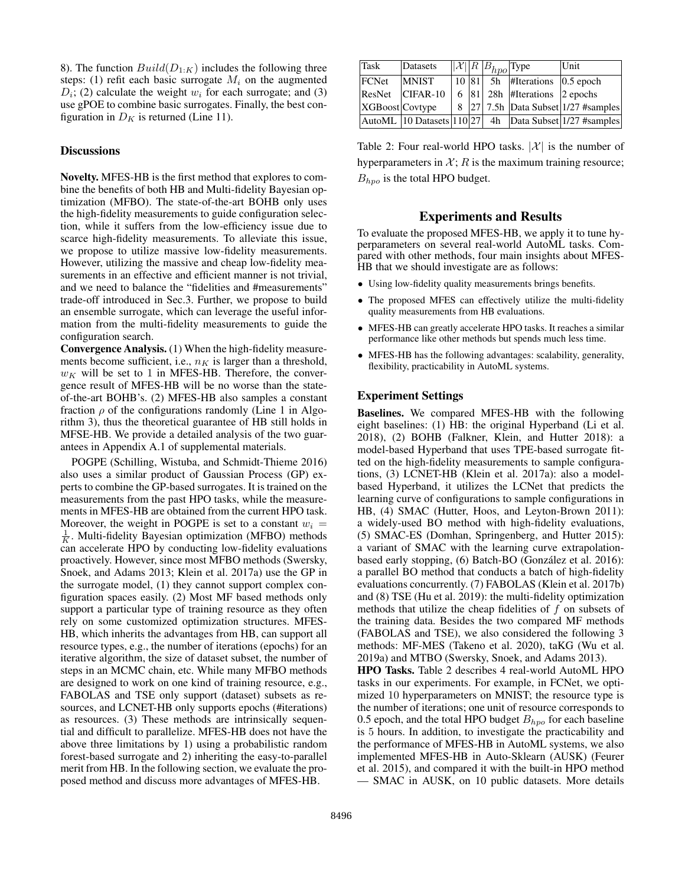8). The function  $Build(D_{1:K})$  includes the following three steps: (1) refit each basic surrogate  $M_i$  on the augmented  $D_i$ ; (2) calculate the weight  $w_i$  for each surrogate; and (3) use gPOE to combine basic surrogates. Finally, the best configuration in  $D<sub>K</sub>$  is returned (Line 11).

### **Discussions**

Novelty. MFES-HB is the first method that explores to combine the benefits of both HB and Multi-fidelity Bayesian optimization (MFBO). The state-of-the-art BOHB only uses the high-fidelity measurements to guide configuration selection, while it suffers from the low-efficiency issue due to scarce high-fidelity measurements. To alleviate this issue, we propose to utilize massive low-fidelity measurements. However, utilizing the massive and cheap low-fidelity measurements in an effective and efficient manner is not trivial, and we need to balance the "fidelities and #measurements" trade-off introduced in Sec.3. Further, we propose to build an ensemble surrogate, which can leverage the useful information from the multi-fidelity measurements to guide the configuration search.

Convergence Analysis. (1) When the high-fidelity measurements become sufficient, i.e.,  $n_K$  is larger than a threshold,  $w_K$  will be set to 1 in MFES-HB. Therefore, the convergence result of MFES-HB will be no worse than the stateof-the-art BOHB's. (2) MFES-HB also samples a constant fraction  $\rho$  of the configurations randomly (Line 1 in Algorithm 3), thus the theoretical guarantee of HB still holds in MFSE-HB. We provide a detailed analysis of the two guarantees in Appendix A.1 of supplemental materials.

POGPE (Schilling, Wistuba, and Schmidt-Thieme 2016) also uses a similar product of Gaussian Process (GP) experts to combine the GP-based surrogates. It is trained on the measurements from the past HPO tasks, while the measurements in MFES-HB are obtained from the current HPO task. Moreover, the weight in POGPE is set to a constant  $w_i =$  $\frac{1}{K}$ . Multi-fidelity Bayesian optimization (MFBO) methods can accelerate HPO by conducting low-fidelity evaluations proactively. However, since most MFBO methods (Swersky, Snoek, and Adams 2013; Klein et al. 2017a) use the GP in the surrogate model, (1) they cannot support complex configuration spaces easily. (2) Most MF based methods only support a particular type of training resource as they often rely on some customized optimization structures. MFES-HB, which inherits the advantages from HB, can support all resource types, e.g., the number of iterations (epochs) for an iterative algorithm, the size of dataset subset, the number of steps in an MCMC chain, etc. While many MFBO methods are designed to work on one kind of training resource, e.g., FABOLAS and TSE only support (dataset) subsets as resources, and LCNET-HB only supports epochs (#iterations) as resources. (3) These methods are intrinsically sequential and difficult to parallelize. MFES-HB does not have the above three limitations by 1) using a probabilistic random forest-based surrogate and 2) inheriting the easy-to-parallel merit from HB. In the following section, we evaluate the proposed method and discuss more advantages of MFES-HB.

| Task            | Datasets     |  | $  \mathcal{X}  R B_{hpo}$ Type |                                        | Unit                                                   |
|-----------------|--------------|--|---------------------------------|----------------------------------------|--------------------------------------------------------|
| FCNet           | <b>MNIST</b> |  |                                 | $10 81 $ 5h  #Iterations $ 0.5 $ epoch |                                                        |
| ResNet          | $CIFAR-10$   |  |                                 | 6   81   28 h   #Iterations   2 epochs |                                                        |
| XGBoost Covtype |              |  |                                 |                                        | 8 27 7.5h Data Subset 1/27 #samples                    |
|                 |              |  |                                 |                                        | AutoML 10 Datasets 110 27 4h Data Subset 1/27 #samples |

Table 2: Four real-world HPO tasks.  $|\mathcal{X}|$  is the number of hyperparameters in  $\mathcal{X}$ ; R is the maximum training resource;  $B_{hpo}$  is the total HPO budget.

### Experiments and Results

To evaluate the proposed MFES-HB, we apply it to tune hyperparameters on several real-world AutoML tasks. Compared with other methods, four main insights about MFES-HB that we should investigate are as follows:

- Using low-fidelity quality measurements brings benefits.
- The proposed MFES can effectively utilize the multi-fidelity quality measurements from HB evaluations.
- MFES-HB can greatly accelerate HPO tasks. It reaches a similar performance like other methods but spends much less time.
- MFES-HB has the following advantages: scalability, generality, flexibility, practicability in AutoML systems.

### Experiment Settings

Baselines. We compared MFES-HB with the following eight baselines: (1) HB: the original Hyperband (Li et al. 2018), (2) BOHB (Falkner, Klein, and Hutter 2018): a model-based Hyperband that uses TPE-based surrogate fitted on the high-fidelity measurements to sample configurations, (3) LCNET-HB (Klein et al. 2017a): also a modelbased Hyperband, it utilizes the LCNet that predicts the learning curve of configurations to sample configurations in HB, (4) SMAC (Hutter, Hoos, and Leyton-Brown 2011): a widely-used BO method with high-fidelity evaluations, (5) SMAC-ES (Domhan, Springenberg, and Hutter 2015): a variant of SMAC with the learning curve extrapolationbased early stopping, (6) Batch-BO (González et al. 2016): a parallel BO method that conducts a batch of high-fidelity evaluations concurrently. (7) FABOLAS (Klein et al. 2017b) and (8) TSE (Hu et al. 2019): the multi-fidelity optimization methods that utilize the cheap fidelities of  $f$  on subsets of the training data. Besides the two compared MF methods (FABOLAS and TSE), we also considered the following 3 methods: MF-MES (Takeno et al. 2020), taKG (Wu et al. 2019a) and MTBO (Swersky, Snoek, and Adams 2013).

HPO Tasks. Table 2 describes 4 real-world AutoML HPO tasks in our experiments. For example, in FCNet, we optimized 10 hyperparameters on MNIST; the resource type is the number of iterations; one unit of resource corresponds to 0.5 epoch, and the total HPO budget  $B_{h\nu\rho}$  for each baseline is 5 hours. In addition, to investigate the practicability and the performance of MFES-HB in AutoML systems, we also implemented MFES-HB in Auto-Sklearn (AUSK) (Feurer et al. 2015), and compared it with the built-in HPO method — SMAC in AUSK, on 10 public datasets. More details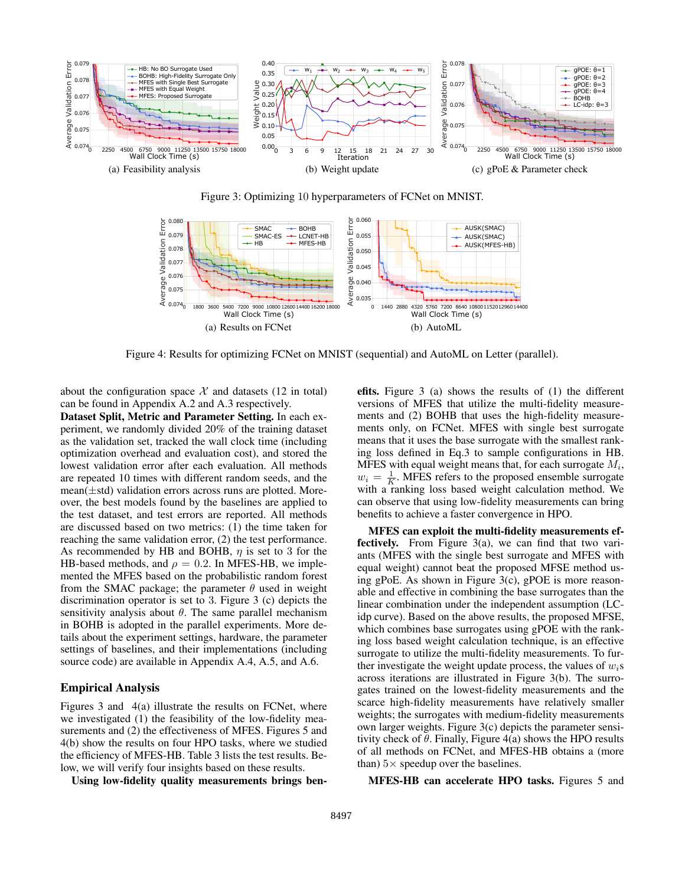

Figure 3: Optimizing 10 hyperparameters of FCNet on MNIST.



Figure 4: Results for optimizing FCNet on MNIST (sequential) and AutoML on Letter (parallel).

about the configuration space  $X$  and datasets (12 in total) can be found in Appendix A.2 and A.3 respectively.

Dataset Split, Metric and Parameter Setting. In each experiment, we randomly divided 20% of the training dataset as the validation set, tracked the wall clock time (including optimization overhead and evaluation cost), and stored the lowest validation error after each evaluation. All methods are repeated 10 times with different random seeds, and the mean(±std) validation errors across runs are plotted. Moreover, the best models found by the baselines are applied to the test dataset, and test errors are reported. All methods are discussed based on two metrics: (1) the time taken for reaching the same validation error, (2) the test performance. As recommended by HB and BOHB,  $\eta$  is set to 3 for the HB-based methods, and  $\rho = 0.2$ . In MFES-HB, we implemented the MFES based on the probabilistic random forest from the SMAC package; the parameter  $\theta$  used in weight discrimination operator is set to 3. Figure 3 (c) depicts the sensitivity analysis about  $\theta$ . The same parallel mechanism in BOHB is adopted in the parallel experiments. More details about the experiment settings, hardware, the parameter settings of baselines, and their implementations (including source code) are available in Appendix A.4, A.5, and A.6.

## Empirical Analysis

Figures 3 and 4(a) illustrate the results on FCNet, where we investigated (1) the feasibility of the low-fidelity measurements and (2) the effectiveness of MFES. Figures 5 and 4(b) show the results on four HPO tasks, where we studied the efficiency of MFES-HB. Table 3 lists the test results. Below, we will verify four insights based on these results.

Using low-fidelity quality measurements brings ben-

efits. Figure 3 (a) shows the results of (1) the different versions of MFES that utilize the multi-fidelity measurements and (2) BOHB that uses the high-fidelity measurements only, on FCNet. MFES with single best surrogate means that it uses the base surrogate with the smallest ranking loss defined in Eq.3 to sample configurations in HB. MFES with equal weight means that, for each surrogate  $M_i$ ,  $w_i = \frac{1}{K}$ . MFES refers to the proposed ensemble surrogate with a ranking loss based weight calculation method. We can observe that using low-fidelity measurements can bring benefits to achieve a faster convergence in HPO.

MFES can exploit the multi-fidelity measurements effectively. From Figure 3(a), we can find that two variants (MFES with the single best surrogate and MFES with equal weight) cannot beat the proposed MFSE method using gPoE. As shown in Figure 3(c), gPOE is more reasonable and effective in combining the base surrogates than the linear combination under the independent assumption (LCidp curve). Based on the above results, the proposed MFSE, which combines base surrogates using gPOE with the ranking loss based weight calculation technique, is an effective surrogate to utilize the multi-fidelity measurements. To further investigate the weight update process, the values of  $w_i$ s across iterations are illustrated in Figure 3(b). The surrogates trained on the lowest-fidelity measurements and the scarce high-fidelity measurements have relatively smaller weights; the surrogates with medium-fidelity measurements own larger weights. Figure 3(c) depicts the parameter sensitivity check of  $\theta$ . Finally, Figure 4(a) shows the HPO results of all methods on FCNet, and MFES-HB obtains a (more than)  $5 \times$  speedup over the baselines.

MFES-HB can accelerate HPO tasks. Figures 5 and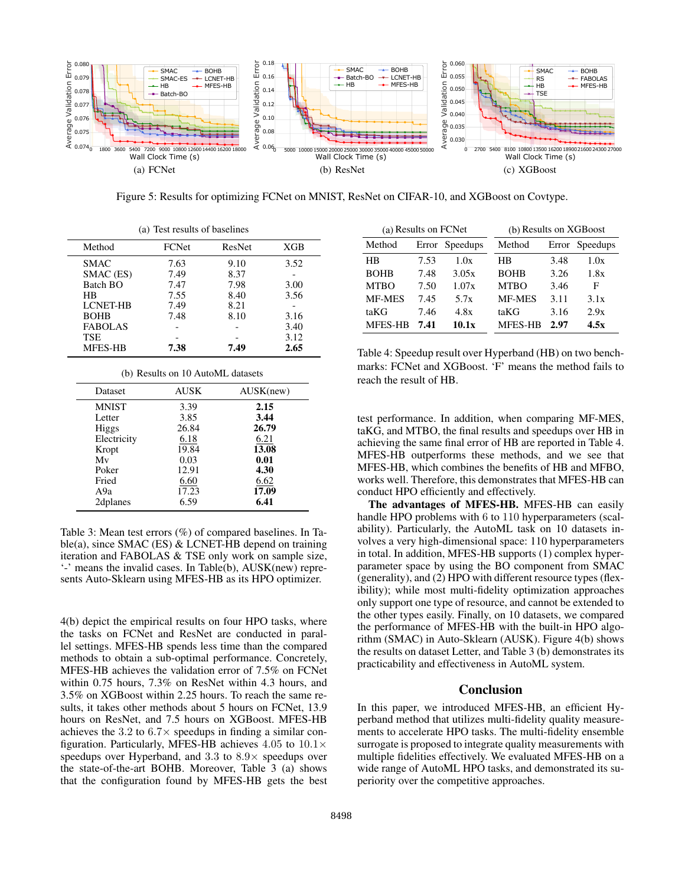

Figure 5: Results for optimizing FCNet on MNIST, ResNet on CIFAR-10, and XGBoost on Covtype.

| (a) Test results of baselines |       |        |      |  |  |
|-------------------------------|-------|--------|------|--|--|
| Method                        | FCNet | ResNet | XGB  |  |  |
| <b>SMAC</b>                   | 7.63  | 9.10   | 3.52 |  |  |
| SMAC (ES)                     | 7.49  | 8.37   |      |  |  |
| Batch BO                      | 7.47  | 7.98   | 3.00 |  |  |
| HB                            | 7.55  | 8.40   | 3.56 |  |  |
| <b>LCNET-HB</b>               | 7.49  | 8.21   |      |  |  |
| <b>BOHB</b>                   | 7.48  | 8.10   | 3.16 |  |  |
| <b>FABOLAS</b>                |       |        | 3.40 |  |  |
| <b>TSE</b>                    |       |        | 3.12 |  |  |
| MFES-HB                       | 7.38  | 7.49   | 2.65 |  |  |

MFES-HB 7.38 7.49 2.65 (b) Results on 10 AutoML datasets

| Dataset      | <b>AUSK</b> | AUSK(new) |
|--------------|-------------|-----------|
| <b>MNIST</b> | 3.39        | 2.15      |
| Letter       | 3.85        | 3.44      |
| <b>Higgs</b> | 26.84       | 26.79     |
| Electricity  | 6.18        | 6.21      |
| Kropt        | 19.84       | 13.08     |
| Mv           | 0.03        | 0.01      |
| Poker        | 12.91       | 4.30      |
| Fried        | 6.60        | 6.62      |
| A9a          | 17.23       | 17.09     |
| 2dplanes     | 6.59        | 6.41      |

Table 3: Mean test errors (%) of compared baselines. In Table(a), since SMAC (ES)  $&$  LCNET-HB depend on training iteration and FABOLAS & TSE only work on sample size, '-' means the invalid cases. In Table(b), AUSK(new) represents Auto-Sklearn using MFES-HB as its HPO optimizer.

4(b) depict the empirical results on four HPO tasks, where the tasks on FCNet and ResNet are conducted in parallel settings. MFES-HB spends less time than the compared methods to obtain a sub-optimal performance. Concretely, MFES-HB achieves the validation error of 7.5% on FCNet within 0.75 hours, 7.3% on ResNet within 4.3 hours, and 3.5% on XGBoost within 2.25 hours. To reach the same results, it takes other methods about 5 hours on FCNet, 13.9 hours on ResNet, and 7.5 hours on XGBoost. MFES-HB achieves the 3.2 to  $6.7\times$  speedups in finding a similar configuration. Particularly, MFES-HB achieves 4.05 to  $10.1\times$ speedups over Hyperband, and 3.3 to 8.9× speedups over the state-of-the-art BOHB. Moreover, Table 3 (a) shows that the configuration found by MFES-HB gets the best

| (a) Results on FCNet |      |                | (b) Results on XGBoost |      |                |  |
|----------------------|------|----------------|------------------------|------|----------------|--|
| Method               |      | Error Speedups | Method                 |      | Error Speedups |  |
| HВ                   | 7.53 | 1.0x           | НB                     | 3.48 | 1.0x           |  |
| <b>BOHB</b>          | 7.48 | 3.05x          | <b>BOHB</b>            | 3.26 | 1.8x           |  |
| <b>MTBO</b>          | 7.50 | 1.07x          | <b>MTBO</b>            | 3.46 | F              |  |
| <b>MF-MES</b>        | 7.45 | 5.7x           | <b>MF-MES</b>          | 3.11 | 3.1x           |  |
| taKG                 | 7.46 | 4.8x           | taKG                   | 3.16 | 2.9x           |  |
| <b>MFES-HB</b>       | 7.41 | 10.1x          | <b>MFES-HB</b>         | 2.97 | 4.5x           |  |

Table 4: Speedup result over Hyperband (HB) on two benchmarks: FCNet and XGBoost. 'F' means the method fails to reach the result of HB.

test performance. In addition, when comparing MF-MES, taKG, and MTBO, the final results and speedups over HB in achieving the same final error of HB are reported in Table 4. MFES-HB outperforms these methods, and we see that MFES-HB, which combines the benefits of HB and MFBO, works well. Therefore, this demonstrates that MFES-HB can conduct HPO efficiently and effectively.

The advantages of MFES-HB. MFES-HB can easily handle HPO problems with 6 to 110 hyperparameters (scalability). Particularly, the AutoML task on 10 datasets involves a very high-dimensional space: 110 hyperparameters in total. In addition, MFES-HB supports (1) complex hyperparameter space by using the BO component from SMAC (generality), and (2) HPO with different resource types (flexibility); while most multi-fidelity optimization approaches only support one type of resource, and cannot be extended to the other types easily. Finally, on 10 datasets, we compared the performance of MFES-HB with the built-in HPO algorithm (SMAC) in Auto-Sklearn (AUSK). Figure 4(b) shows the results on dataset Letter, and Table 3 (b) demonstrates its practicability and effectiveness in AutoML system.

## Conclusion

In this paper, we introduced MFES-HB, an efficient Hyperband method that utilizes multi-fidelity quality measurements to accelerate HPO tasks. The multi-fidelity ensemble surrogate is proposed to integrate quality measurements with multiple fidelities effectively. We evaluated MFES-HB on a wide range of AutoML HPO tasks, and demonstrated its superiority over the competitive approaches.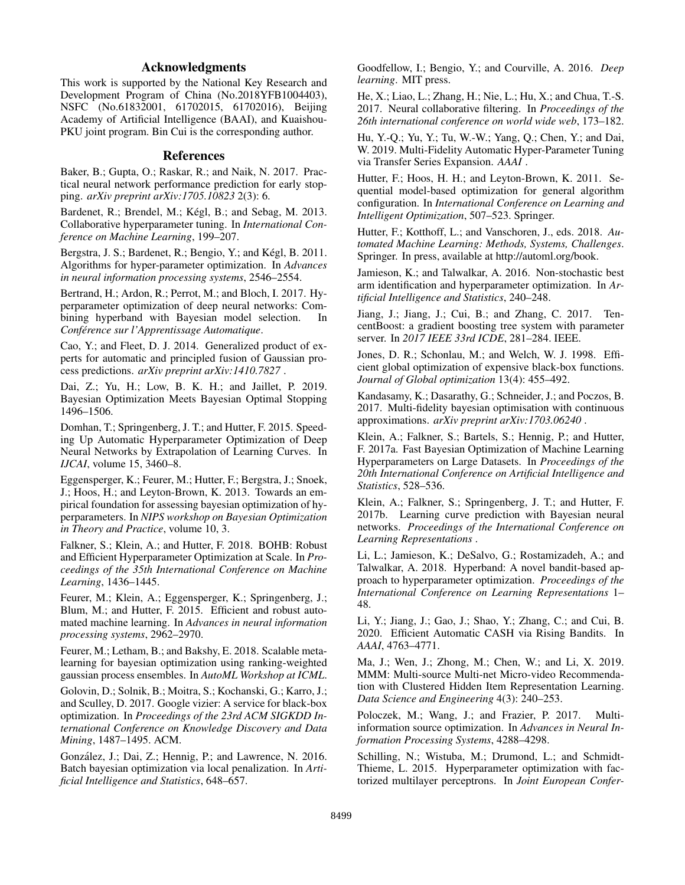# Acknowledgments

This work is supported by the National Key Research and Development Program of China (No.2018YFB1004403), NSFC (No.61832001, 61702015, 61702016), Beijing Academy of Artificial Intelligence (BAAI), and Kuaishou-PKU joint program. Bin Cui is the corresponding author.

#### References

Baker, B.; Gupta, O.; Raskar, R.; and Naik, N. 2017. Practical neural network performance prediction for early stopping. *arXiv preprint arXiv:1705.10823* 2(3): 6.

Bardenet, R.; Brendel, M.; Kégl, B.; and Sebag, M. 2013. Collaborative hyperparameter tuning. In *International Conference on Machine Learning*, 199–207.

Bergstra, J. S.; Bardenet, R.; Bengio, Y.; and Kégl, B. 2011. Algorithms for hyper-parameter optimization. In *Advances in neural information processing systems*, 2546–2554.

Bertrand, H.; Ardon, R.; Perrot, M.; and Bloch, I. 2017. Hyperparameter optimization of deep neural networks: Combining hyperband with Bayesian model selection. *Conference sur l'Apprentissage Automatique ´* .

Cao, Y.; and Fleet, D. J. 2014. Generalized product of experts for automatic and principled fusion of Gaussian process predictions. *arXiv preprint arXiv:1410.7827* .

Dai, Z.; Yu, H.; Low, B. K. H.; and Jaillet, P. 2019. Bayesian Optimization Meets Bayesian Optimal Stopping 1496–1506.

Domhan, T.; Springenberg, J. T.; and Hutter, F. 2015. Speeding Up Automatic Hyperparameter Optimization of Deep Neural Networks by Extrapolation of Learning Curves. In *IJCAI*, volume 15, 3460–8.

Eggensperger, K.; Feurer, M.; Hutter, F.; Bergstra, J.; Snoek, J.; Hoos, H.; and Leyton-Brown, K. 2013. Towards an empirical foundation for assessing bayesian optimization of hyperparameters. In *NIPS workshop on Bayesian Optimization in Theory and Practice*, volume 10, 3.

Falkner, S.; Klein, A.; and Hutter, F. 2018. BOHB: Robust and Efficient Hyperparameter Optimization at Scale. In *Proceedings of the 35th International Conference on Machine Learning*, 1436–1445.

Feurer, M.; Klein, A.; Eggensperger, K.; Springenberg, J.; Blum, M.; and Hutter, F. 2015. Efficient and robust automated machine learning. In *Advances in neural information processing systems*, 2962–2970.

Feurer, M.; Letham, B.; and Bakshy, E. 2018. Scalable metalearning for bayesian optimization using ranking-weighted gaussian process ensembles. In *AutoML Workshop at ICML*.

Golovin, D.; Solnik, B.; Moitra, S.; Kochanski, G.; Karro, J.; and Sculley, D. 2017. Google vizier: A service for black-box optimization. In *Proceedings of the 23rd ACM SIGKDD International Conference on Knowledge Discovery and Data Mining*, 1487–1495. ACM.

González, J.; Dai, Z.; Hennig, P.; and Lawrence, N. 2016. Batch bayesian optimization via local penalization. In *Artificial Intelligence and Statistics*, 648–657.

Goodfellow, I.; Bengio, Y.; and Courville, A. 2016. *Deep learning*. MIT press.

He, X.; Liao, L.; Zhang, H.; Nie, L.; Hu, X.; and Chua, T.-S. 2017. Neural collaborative filtering. In *Proceedings of the 26th international conference on world wide web*, 173–182.

Hu, Y.-Q.; Yu, Y.; Tu, W.-W.; Yang, Q.; Chen, Y.; and Dai, W. 2019. Multi-Fidelity Automatic Hyper-Parameter Tuning via Transfer Series Expansion. *AAAI* .

Hutter, F.; Hoos, H. H.; and Leyton-Brown, K. 2011. Sequential model-based optimization for general algorithm configuration. In *International Conference on Learning and Intelligent Optimization*, 507–523. Springer.

Hutter, F.; Kotthoff, L.; and Vanschoren, J., eds. 2018. *Automated Machine Learning: Methods, Systems, Challenges*. Springer. In press, available at http://automl.org/book.

Jamieson, K.; and Talwalkar, A. 2016. Non-stochastic best arm identification and hyperparameter optimization. In *Artificial Intelligence and Statistics*, 240–248.

Jiang, J.; Jiang, J.; Cui, B.; and Zhang, C. 2017. TencentBoost: a gradient boosting tree system with parameter server. In *2017 IEEE 33rd ICDE*, 281–284. IEEE.

Jones, D. R.; Schonlau, M.; and Welch, W. J. 1998. Efficient global optimization of expensive black-box functions. *Journal of Global optimization* 13(4): 455–492.

Kandasamy, K.; Dasarathy, G.; Schneider, J.; and Poczos, B. 2017. Multi-fidelity bayesian optimisation with continuous approximations. *arXiv preprint arXiv:1703.06240* .

Klein, A.; Falkner, S.; Bartels, S.; Hennig, P.; and Hutter, F. 2017a. Fast Bayesian Optimization of Machine Learning Hyperparameters on Large Datasets. In *Proceedings of the 20th International Conference on Artificial Intelligence and Statistics*, 528–536.

Klein, A.; Falkner, S.; Springenberg, J. T.; and Hutter, F. 2017b. Learning curve prediction with Bayesian neural networks. *Proceedings of the International Conference on Learning Representations* .

Li, L.; Jamieson, K.; DeSalvo, G.; Rostamizadeh, A.; and Talwalkar, A. 2018. Hyperband: A novel bandit-based approach to hyperparameter optimization. *Proceedings of the International Conference on Learning Representations* 1– 48.

Li, Y.; Jiang, J.; Gao, J.; Shao, Y.; Zhang, C.; and Cui, B. 2020. Efficient Automatic CASH via Rising Bandits. In *AAAI*, 4763–4771.

Ma, J.; Wen, J.; Zhong, M.; Chen, W.; and Li, X. 2019. MMM: Multi-source Multi-net Micro-video Recommendation with Clustered Hidden Item Representation Learning. *Data Science and Engineering* 4(3): 240–253.

Poloczek, M.; Wang, J.; and Frazier, P. 2017. Multiinformation source optimization. In *Advances in Neural Information Processing Systems*, 4288–4298.

Schilling, N.; Wistuba, M.; Drumond, L.; and Schmidt-Thieme, L. 2015. Hyperparameter optimization with factorized multilayer perceptrons. In *Joint European Confer-*